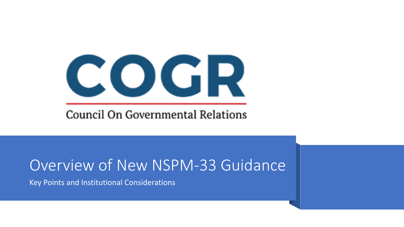# COGR

#### Council On Governmental Relations

#### Overview of New NSPM-33 Guidance

Key Points and Institutional Considerations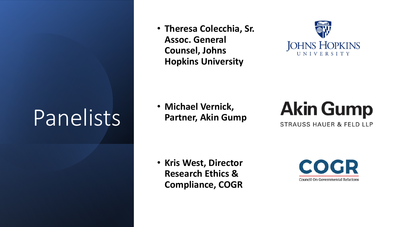# Panelists

• **Theresa Colecchia, Sr. Assoc. General Counsel, Johns Hopkins University** 



• **Michael Vernick, Partner, Akin Gump** 



**STRAUSS HAUER & FELD LLP** 

• **Kris West, Director Research Ethics & Compliance, COGR**

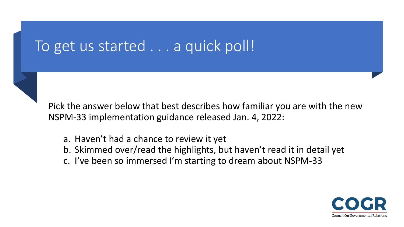#### To get us started . . . a quick poll!

Pick the answer below that best describes how familiar you are with the new NSPM-33 implementation guidance released Jan. 4, 2022:

- a. Haven't had a chance to review it yet
- b. Skimmed over/read the highlights, but haven't read it in detail yet
- c. I've been so immersed I'm starting to dream about NSPM-33

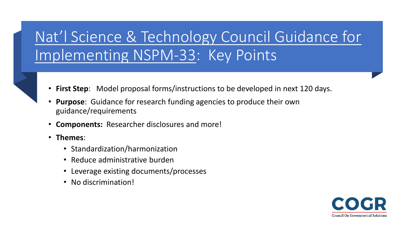#### [Nat'l Science & Technology Council Guidance for](https://www.whitehouse.gov/wp-content/uploads/2022/01/010422-NSPM-33-Implementation-Guidance.pdf)  Implementing NSPM-33: Key Points

- **First Step**: Model proposal forms/instructions to be developed in next 120 days.
- **Purpose**: Guidance for research funding agencies to produce their own guidance/requirements
- **Components:** Researcher disclosures and more!
- **Themes**:
	- Standardization/harmonization
	- Reduce administrative burden
	- Leverage existing documents/processes
	- No discrimination!

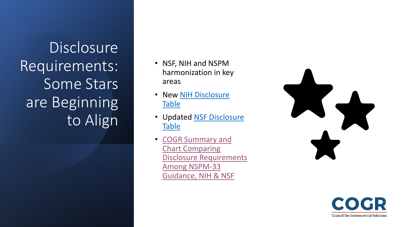**Disclosure** Requirements: Some Stars are Beginning to Align

- NSF, NIH and NSPM harmonization in key areas
- New **NIH Disclosure Table**
- [Updated NSF Disclosure](https://www.nsf.gov/bfa/dias/policy/disclosures_table/jan2022.pdf) **Table**
- COGR Summary and Chart Comparing [Disclosure Requirements](https://www.cogr.edu/sites/default/files/Summary%20of%20NSTC%20Guidance%20for%20Implementing%20National%20Security%20Presidential%20formatted.pdf)  Among NSPM-33 Guidance, NIH & NSF



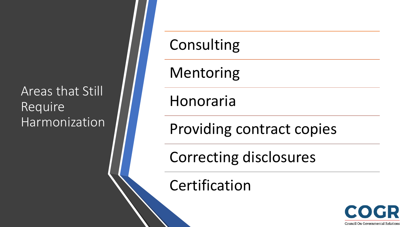#### Areas that Still Require Harmonization

### Consulting

Mentoring

Honoraria

Providing contract copies

Correcting disclosures

Certification

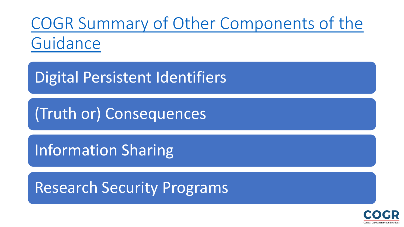[COGR Summary of Other Components of the](https://www.cogr.edu/sites/default/files/final%20NSPM%2033%20guidance%20re%20research%20security%20programs%20etc%20jan%2010%202022.pdf)  Guidance

Digital Persistent Identifiers

(Truth or) Consequences

Information Sharing

Research Security Programs

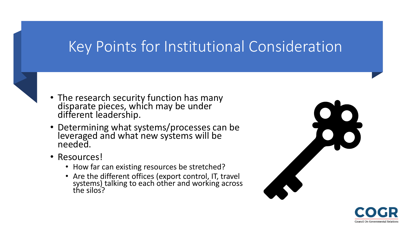#### Key Points for Institutional Consideration



- The research security function has many disparate pieces, which may be under different leadership.
- Determining what systems/processes can be leveraged and what new systems will be needed.
- Resources!
	- How far can existing resources be stretched?
	- Are the different offices (export control, IT, travel systems) talking to each other and working across the silos?



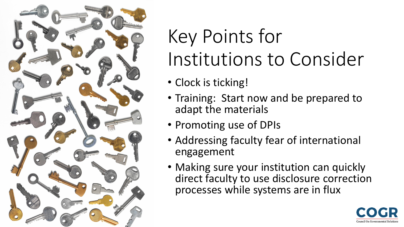

## Key Points for Institutions to Consider

- Clock is ticking!
- Training: Start now and be prepared to adapt the materials
- Promoting use of DPIs
- Addressing faculty fear of international engagement
- Making sure your institution can quickly direct faculty to use disclosure correction processes while systems are in flux

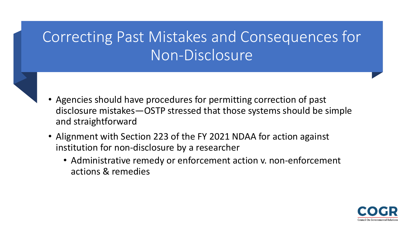#### Correcting Past Mistakes and Consequences for Non-Disclosure

- 
- Agencies should have procedures for permitting correction of past disclosure mistakes—OSTP stressed that those systems should be simple and straightforward
- Alignment with Section 223 of the FY 2021 NDAA for action against institution for non-disclosure by a researcher
	- Administrative remedy or enforcement action v. non-enforcement actions & remedies

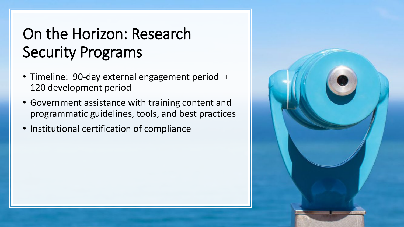#### On the Horizon: Research Security Programs

- Timeline: 90-day external engagement period + 120 development period
- Government assistance with training content and programmatic guidelines, tools, and best practices
- Institutional certification of compliance